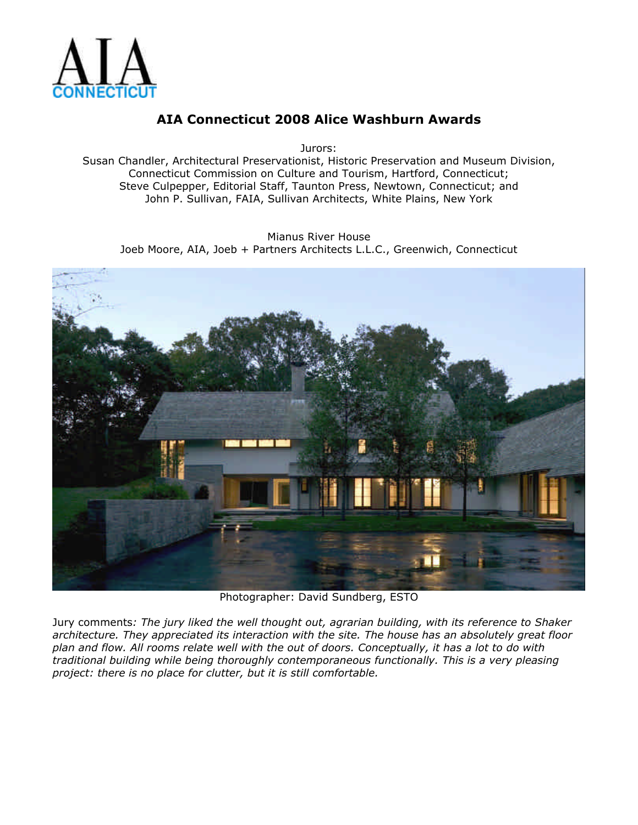

Jurors:

Susan Chandler, Architectural Preservationist, Historic Preservation and Museum Division, Connecticut Commission on Culture and Tourism, Hartford, Connecticut; Steve Culpepper, Editorial Staff, Taunton Press, Newtown, Connecticut; and John P. Sullivan, FAIA, Sullivan Architects, White Plains, New York

Mianus River House Joeb Moore, AIA, Joeb + Partners Architects L.L.C., Greenwich, Connecticut



Photographer: David Sundberg, ESTO

Jury comments*: The jury liked the well thought out, agrarian building, with its reference to Shaker architecture. They appreciated its interaction with the site. The house has an absolutely great floor plan and flow. All rooms relate well with the out of doors. Conceptually, it has a lot to do with traditional building while being thoroughly contemporaneous functionally. This is a very pleasing project: there is no place for clutter, but it is still comfortable.*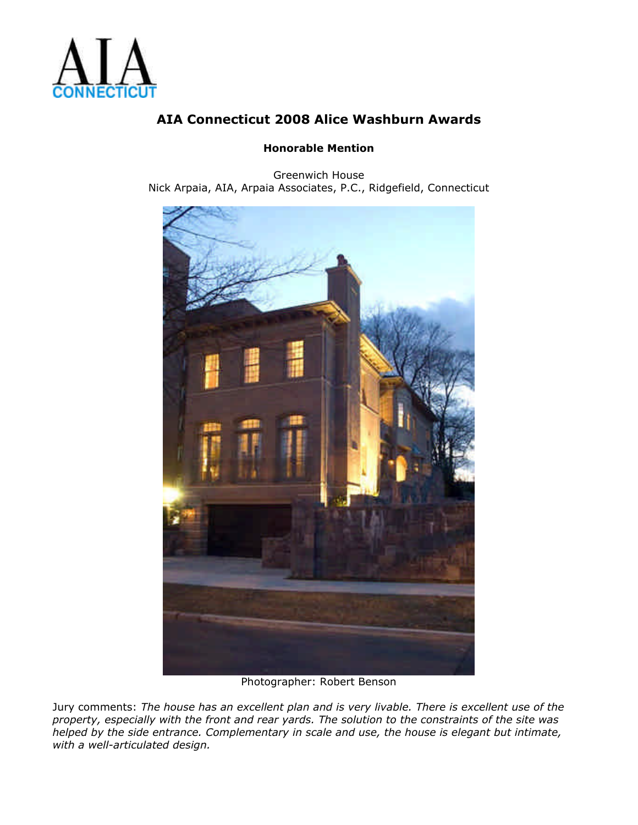

#### **Honorable Mention**

Greenwich House Nick Arpaia, AIA, Arpaia Associates, P.C., Ridgefield, Connecticut



Photographer: Robert Benson

Jury comments: *The house has an excellent plan and is very livable. There is excellent use of the property, especially with the front and rear yards. The solution to the constraints of the site was helped by the side entrance. Complementary in scale and use, the house is elegant but intimate, with a well-articulated design.*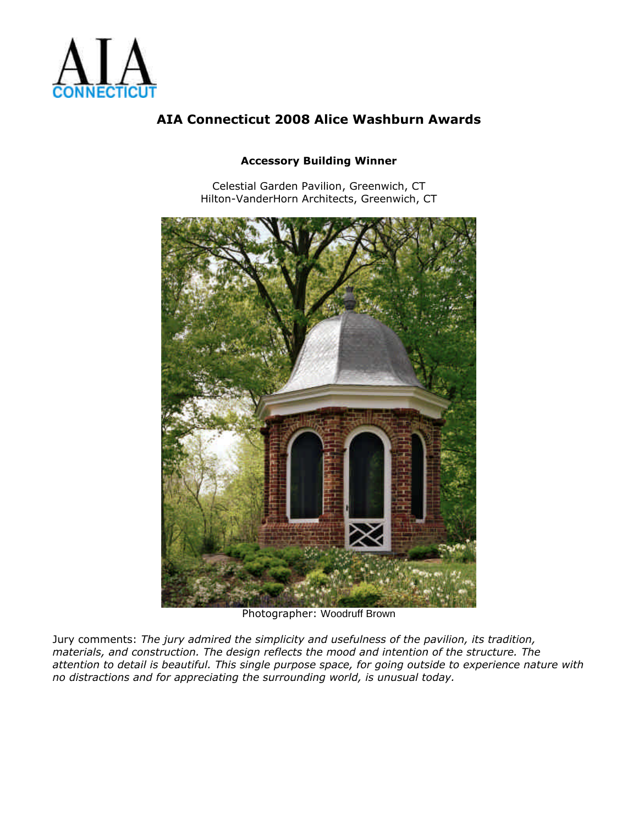

#### **Accessory Building Winner**

Celestial Garden Pavilion, Greenwich, CT Hilton-VanderHorn Architects, Greenwich, CT



Photographer: Woodruff Brown

Jury comments: *The jury admired the simplicity and usefulness of the pavilion, its tradition, materials, and construction. The design reflects the mood and intention of the structure. The attention to detail is beautiful. This single purpose space, for going outside to experience nature with no distractions and for appreciating the surrounding world, is unusual today.*